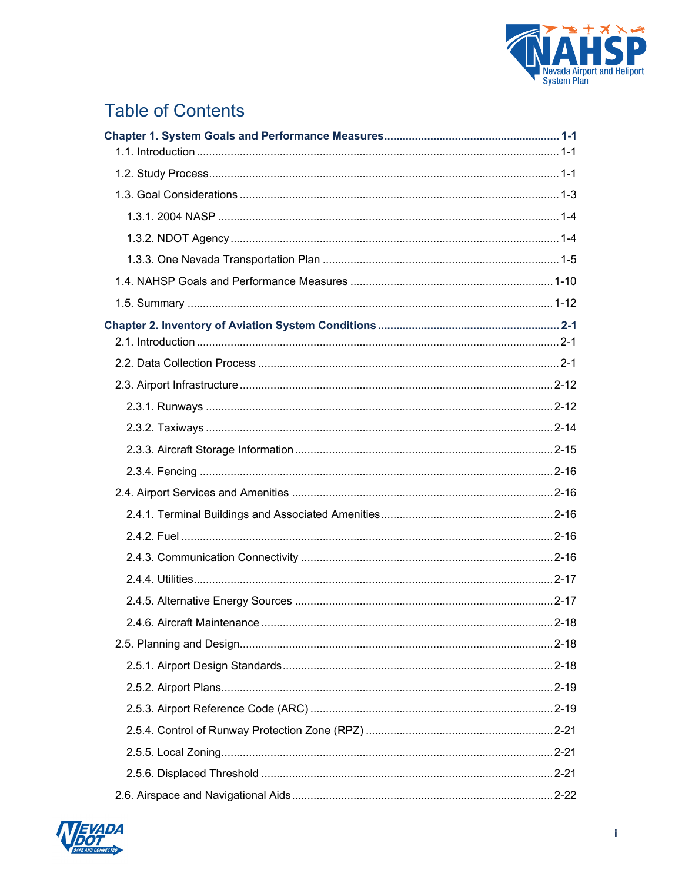

# **Table of Contents**

| 2.4.6. Aircraft Maintenance. | $2 - 18$ |
|------------------------------|----------|
|                              |          |
|                              |          |
|                              |          |
|                              |          |
|                              |          |
|                              |          |
|                              |          |
|                              |          |

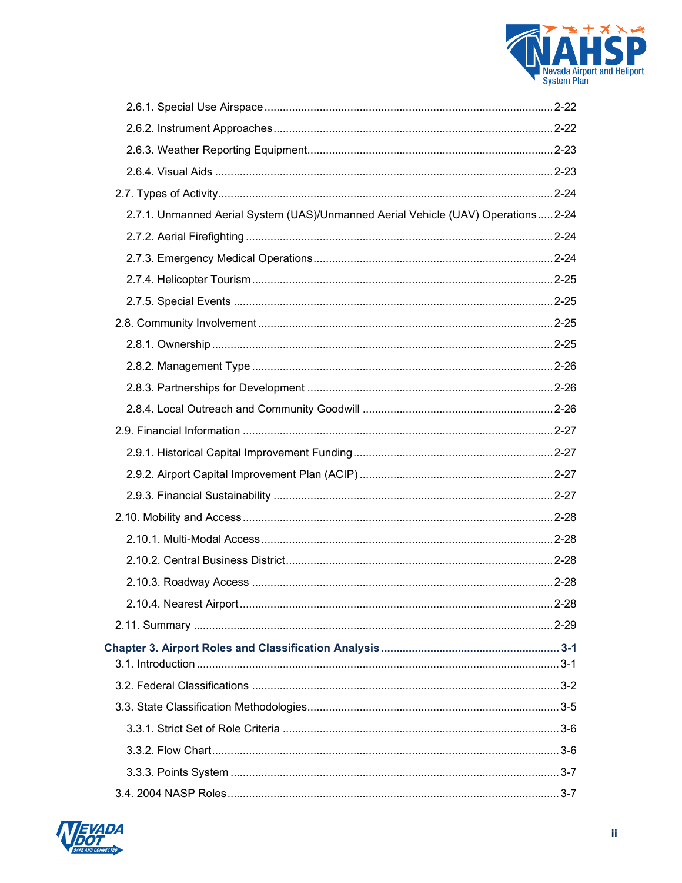

| 2.7.1. Unmanned Aerial System (UAS)/Unmanned Aerial Vehicle (UAV) Operations 2-24 |  |
|-----------------------------------------------------------------------------------|--|
|                                                                                   |  |
|                                                                                   |  |
|                                                                                   |  |
|                                                                                   |  |
|                                                                                   |  |
|                                                                                   |  |
|                                                                                   |  |
|                                                                                   |  |
|                                                                                   |  |
|                                                                                   |  |
|                                                                                   |  |
|                                                                                   |  |
|                                                                                   |  |
|                                                                                   |  |
|                                                                                   |  |
|                                                                                   |  |
|                                                                                   |  |
|                                                                                   |  |
|                                                                                   |  |
|                                                                                   |  |
|                                                                                   |  |
|                                                                                   |  |
|                                                                                   |  |
|                                                                                   |  |
|                                                                                   |  |
|                                                                                   |  |

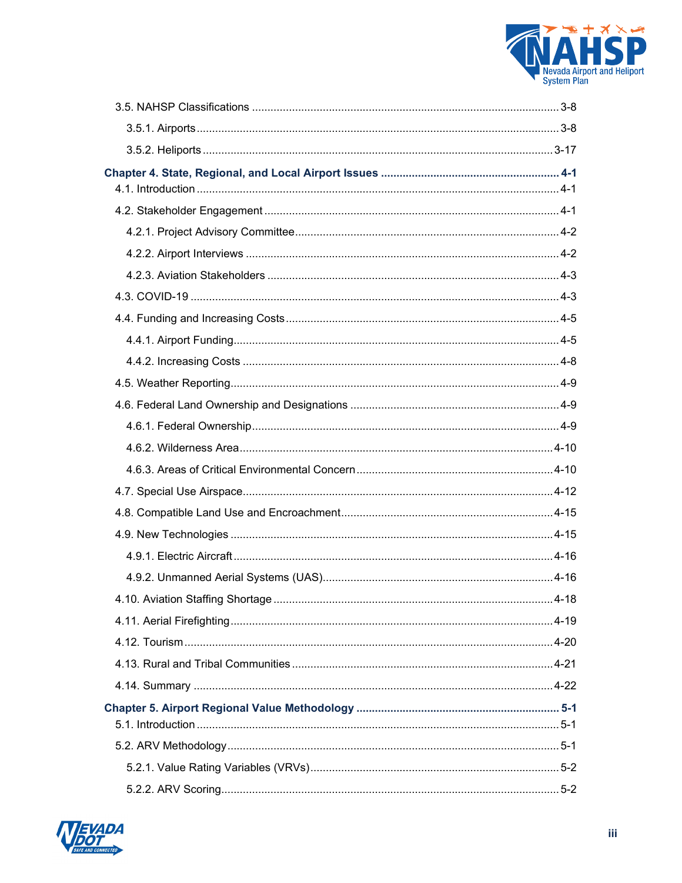

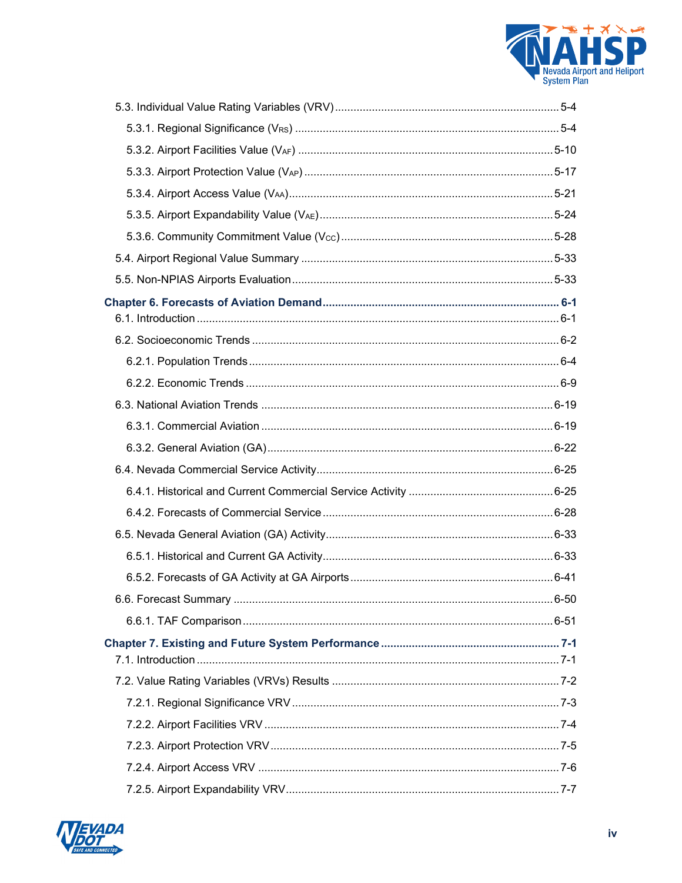

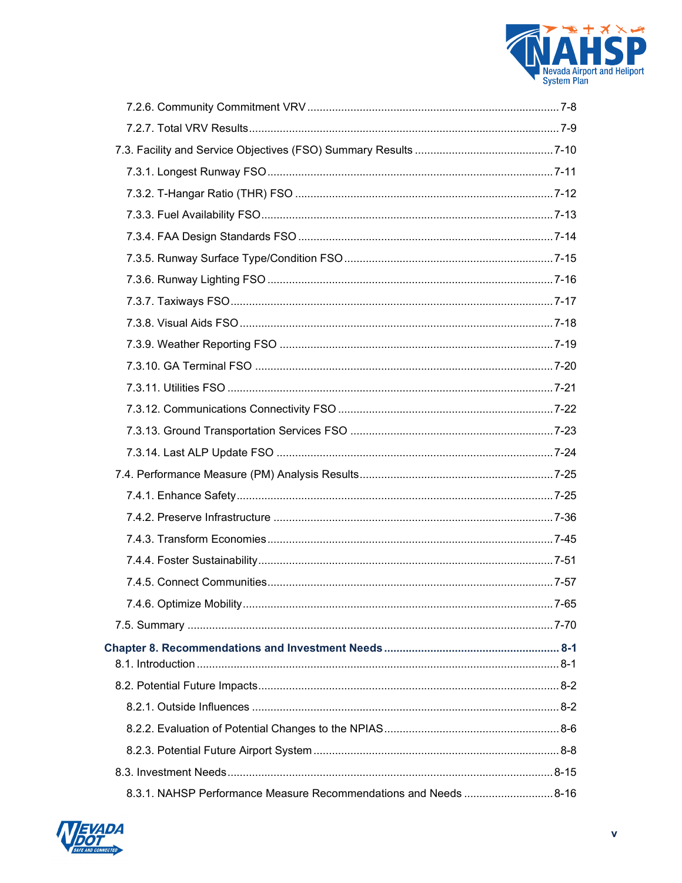

| 8.3.1. NAHSP Performance Measure Recommendations and Needs 8-16 |  |
|-----------------------------------------------------------------|--|

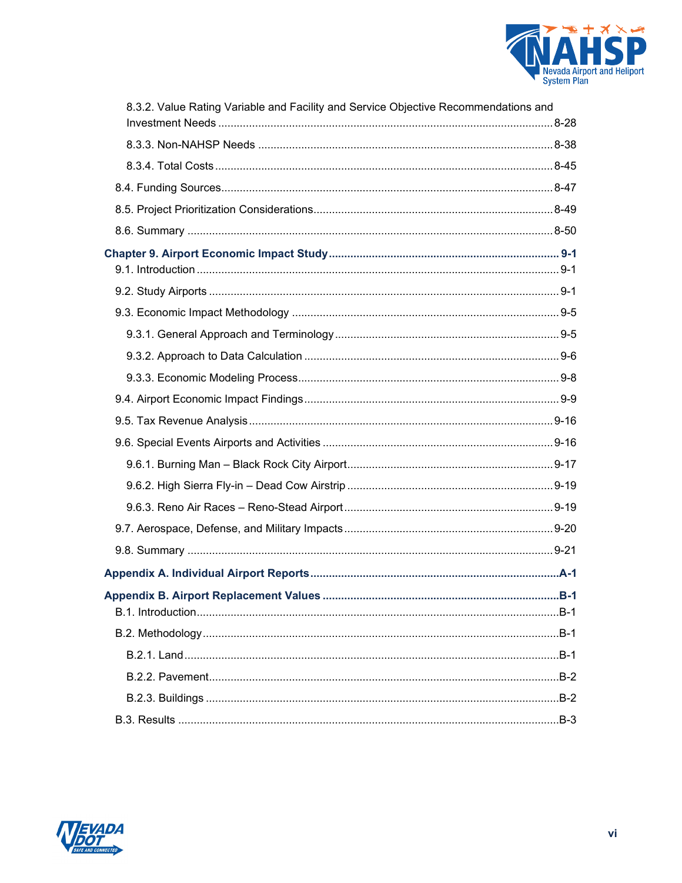

| 8.3.2. Value Rating Variable and Facility and Service Objective Recommendations and |       |
|-------------------------------------------------------------------------------------|-------|
|                                                                                     |       |
|                                                                                     |       |
|                                                                                     |       |
|                                                                                     |       |
|                                                                                     |       |
|                                                                                     |       |
|                                                                                     |       |
|                                                                                     |       |
|                                                                                     |       |
|                                                                                     |       |
|                                                                                     |       |
|                                                                                     |       |
|                                                                                     |       |
|                                                                                     |       |
|                                                                                     |       |
|                                                                                     |       |
|                                                                                     |       |
|                                                                                     |       |
|                                                                                     |       |
|                                                                                     |       |
|                                                                                     | $B-1$ |
|                                                                                     |       |
|                                                                                     |       |
|                                                                                     |       |
|                                                                                     |       |
|                                                                                     |       |

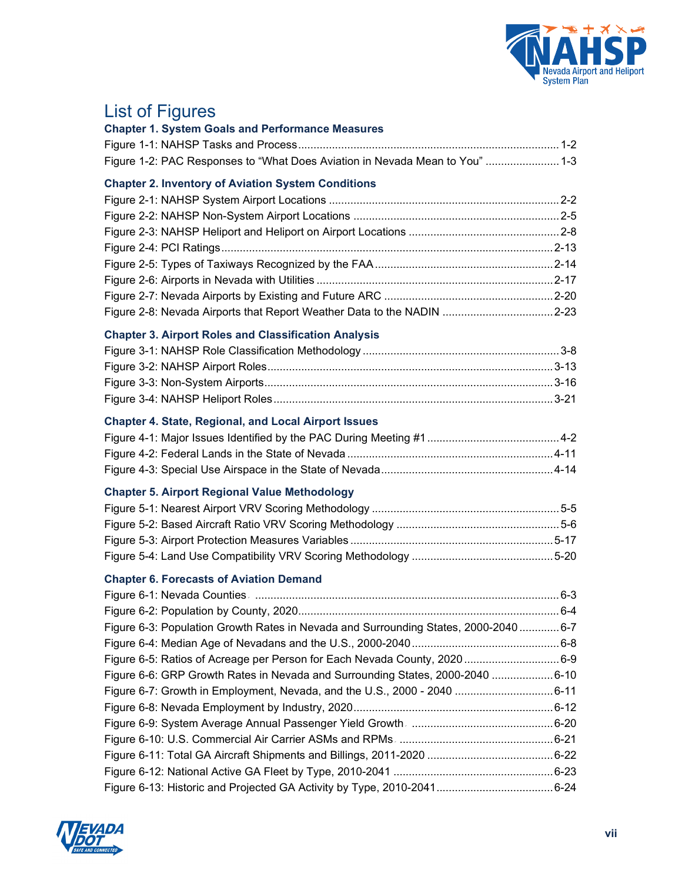

# List of Figures

| <b>Chapter 1. System Goals and Performance Measures</b>                              |  |
|--------------------------------------------------------------------------------------|--|
|                                                                                      |  |
| Figure 1-2: PAC Responses to "What Does Aviation in Nevada Mean to You"  1-3         |  |
| <b>Chapter 2. Inventory of Aviation System Conditions</b>                            |  |
|                                                                                      |  |
|                                                                                      |  |
|                                                                                      |  |
|                                                                                      |  |
|                                                                                      |  |
|                                                                                      |  |
|                                                                                      |  |
| Figure 2-8: Nevada Airports that Report Weather Data to the NADIN 2-23               |  |
| <b>Chapter 3. Airport Roles and Classification Analysis</b>                          |  |
|                                                                                      |  |
|                                                                                      |  |
|                                                                                      |  |
|                                                                                      |  |
| <b>Chapter 4. State, Regional, and Local Airport Issues</b>                          |  |
|                                                                                      |  |
|                                                                                      |  |
|                                                                                      |  |
| <b>Chapter 5. Airport Regional Value Methodology</b>                                 |  |
|                                                                                      |  |
|                                                                                      |  |
|                                                                                      |  |
|                                                                                      |  |
| <b>Chapter 6. Forecasts of Aviation Demand</b>                                       |  |
|                                                                                      |  |
|                                                                                      |  |
| Figure 6-3: Population Growth Rates in Nevada and Surrounding States, 2000-2040  6-7 |  |
|                                                                                      |  |
| Figure 6-5: Ratios of Acreage per Person for Each Nevada County, 2020  6-9           |  |
| Figure 6-6: GRP Growth Rates in Nevada and Surrounding States, 2000-2040 6-10        |  |
| Figure 6-7: Growth in Employment, Nevada, and the U.S., 2000 - 2040 6-11             |  |
|                                                                                      |  |
|                                                                                      |  |
|                                                                                      |  |
|                                                                                      |  |
|                                                                                      |  |
|                                                                                      |  |

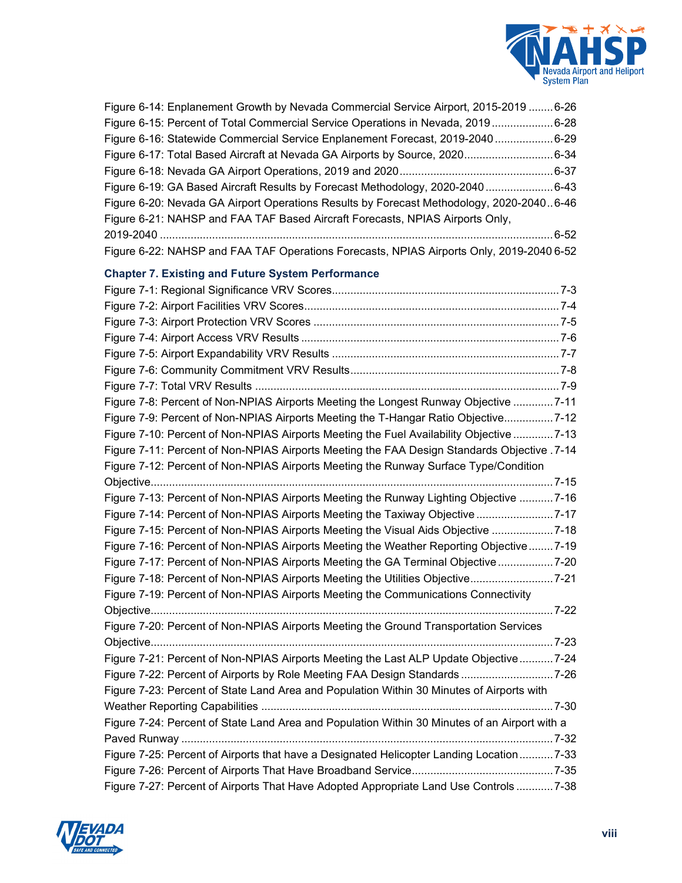

| Figure 6-14: Enplanement Growth by Nevada Commercial Service Airport, 2015-2019 6-26          |  |
|-----------------------------------------------------------------------------------------------|--|
| Figure 6-15: Percent of Total Commercial Service Operations in Nevada, 20196-28               |  |
| Figure 6-16: Statewide Commercial Service Enplanement Forecast, 2019-20406-29                 |  |
| Figure 6-17: Total Based Aircraft at Nevada GA Airports by Source, 20206-34                   |  |
|                                                                                               |  |
| Figure 6-19: GA Based Aircraft Results by Forecast Methodology, 2020-20406-43                 |  |
| Figure 6-20: Nevada GA Airport Operations Results by Forecast Methodology, 2020-20406-46      |  |
| Figure 6-21: NAHSP and FAA TAF Based Aircraft Forecasts, NPIAS Airports Only,                 |  |
|                                                                                               |  |
| Figure 6-22: NAHSP and FAA TAF Operations Forecasts, NPIAS Airports Only, 2019-2040 6-52      |  |
| <b>Chapter 7. Existing and Future System Performance</b>                                      |  |
|                                                                                               |  |
|                                                                                               |  |
|                                                                                               |  |
|                                                                                               |  |
|                                                                                               |  |
|                                                                                               |  |
|                                                                                               |  |
| Figure 7-8: Percent of Non-NPIAS Airports Meeting the Longest Runway Objective 7-11           |  |
| Figure 7-9: Percent of Non-NPIAS Airports Meeting the T-Hangar Ratio Objective7-12            |  |
| Figure 7-10: Percent of Non-NPIAS Airports Meeting the Fuel Availability Objective 7-13       |  |
| Tigure 7-11: Percent of Non-NPIAS Airports Meeting the FAA Design Standards Objective .7-14   |  |
| Figure 7-12: Percent of Non-NPIAS Airports Meeting the Runway Surface Type/Condition          |  |
|                                                                                               |  |
| Figure 7-13: Percent of Non-NPIAS Airports Meeting the Runway Lighting Objective 7-16         |  |
| Figure 7-14: Percent of Non-NPIAS Airports Meeting the Taxiway Objective 7-17                 |  |
| Figure 7-15: Percent of Non-NPIAS Airports Meeting the Visual Aids Objective 7-18             |  |
| Figure 7-16: Percent of Non-NPIAS Airports Meeting the Weather Reporting Objective7-19        |  |
| Figure 7-17: Percent of Non-NPIAS Airports Meeting the GA Terminal Objective7-20              |  |
| Figure 7-18: Percent of Non-NPIAS Airports Meeting the Utilities Objective7-21                |  |
| Figure 7-19: Percent of Non-NPIAS Airports Meeting the Communications Connectivity            |  |
|                                                                                               |  |
| Figure 7-20: Percent of Non-NPIAS Airports Meeting the Ground Transportation Services         |  |
|                                                                                               |  |
| Figure 7-21: Percent of Non-NPIAS Airports Meeting the Last ALP Update Objective7-24          |  |
| Figure 7-22: Percent of Airports by Role Meeting FAA Design Standards 7-26                    |  |
| Figure 7-23: Percent of State Land Area and Population Within 30 Minutes of Airports with     |  |
|                                                                                               |  |
| Figure 7-24: Percent of State Land Area and Population Within 30 Minutes of an Airport with a |  |
|                                                                                               |  |
| Figure 7-25: Percent of Airports that have a Designated Helicopter Landing Location7-33       |  |
|                                                                                               |  |
| Figure 7-27: Percent of Airports That Have Adopted Appropriate Land Use Controls 7-38         |  |

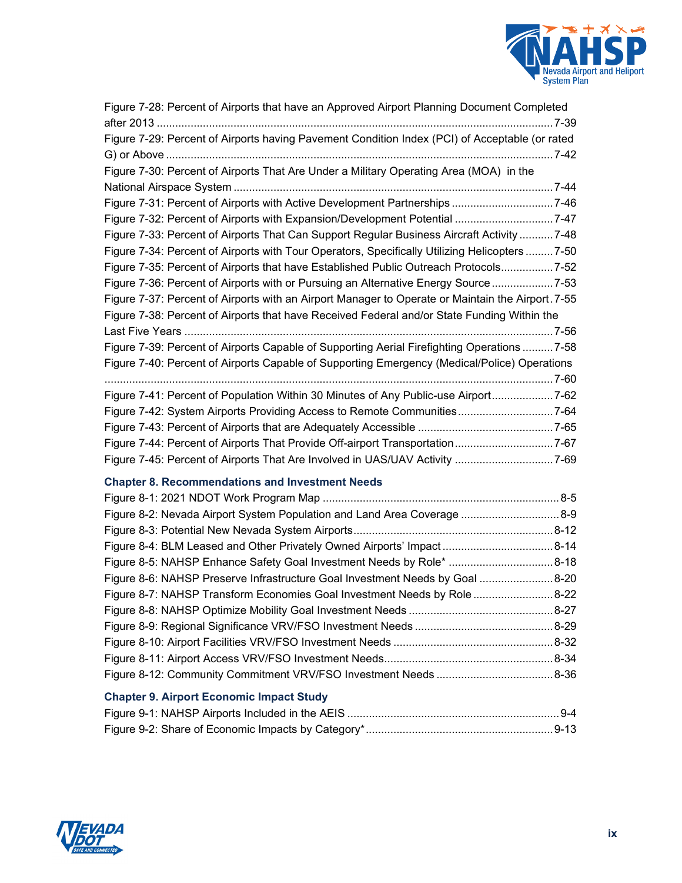

| Figure 7-28: Percent of Airports that have an Approved Airport Planning Document Completed        |  |
|---------------------------------------------------------------------------------------------------|--|
| Figure 7-29: Percent of Airports having Pavement Condition Index (PCI) of Acceptable (or rated    |  |
| Figure 7-30: Percent of Airports That Are Under a Military Operating Area (MOA) in the            |  |
|                                                                                                   |  |
| Figure 7-31: Percent of Airports with Active Development Partnerships 7-46                        |  |
| Figure 7-32: Percent of Airports with Expansion/Development Potential  7-47                       |  |
| Figure 7-33: Percent of Airports That Can Support Regular Business Aircraft Activity 7-48         |  |
| Figure 7-34: Percent of Airports with Tour Operators, Specifically Utilizing Helicopters  7-50    |  |
| Figure 7-35: Percent of Airports that have Established Public Outreach Protocols7-52              |  |
| Figure 7-36: Percent of Airports with or Pursuing an Alternative Energy Source  7-53              |  |
| Figure 7-37: Percent of Airports with an Airport Manager to Operate or Maintain the Airport. 7-55 |  |
| Figure 7-38: Percent of Airports that have Received Federal and/or State Funding Within the       |  |
|                                                                                                   |  |
| Figure 7-39: Percent of Airports Capable of Supporting Aerial Firefighting Operations  7-58       |  |
| Figure 7-40: Percent of Airports Capable of Supporting Emergency (Medical/Police) Operations      |  |
| Figure 7-41: Percent of Population Within 30 Minutes of Any Public-use Airport7-62                |  |
| Figure 7-42: System Airports Providing Access to Remote Communities7-64                           |  |
|                                                                                                   |  |
| Figure 7-44: Percent of Airports That Provide Off-airport Transportation7-67                      |  |
| Figure 7-45: Percent of Airports That Are Involved in UAS/UAV Activity 7-69                       |  |
| <b>Chapter 8. Recommendations and Investment Needs</b>                                            |  |
|                                                                                                   |  |
| Figure 8-2: Nevada Airport System Population and Land Area Coverage  8-9                          |  |
|                                                                                                   |  |
| Figure 8-4: BLM Leased and Other Privately Owned Airports' Impact8-14                             |  |
| Figure 8-5: NAHSP Enhance Safety Goal Investment Needs by Role* 8-18                              |  |
| Figure 8-6: NAHSP Preserve Infrastructure Goal Investment Needs by Goal 8-20                      |  |
| Figure 8-7: NAHSP Transform Economies Goal Investment Needs by Role  8-22                         |  |
|                                                                                                   |  |
|                                                                                                   |  |
|                                                                                                   |  |
|                                                                                                   |  |
|                                                                                                   |  |
| <b>Chapter 9. Airport Economic Impact Study</b>                                                   |  |
|                                                                                                   |  |
|                                                                                                   |  |

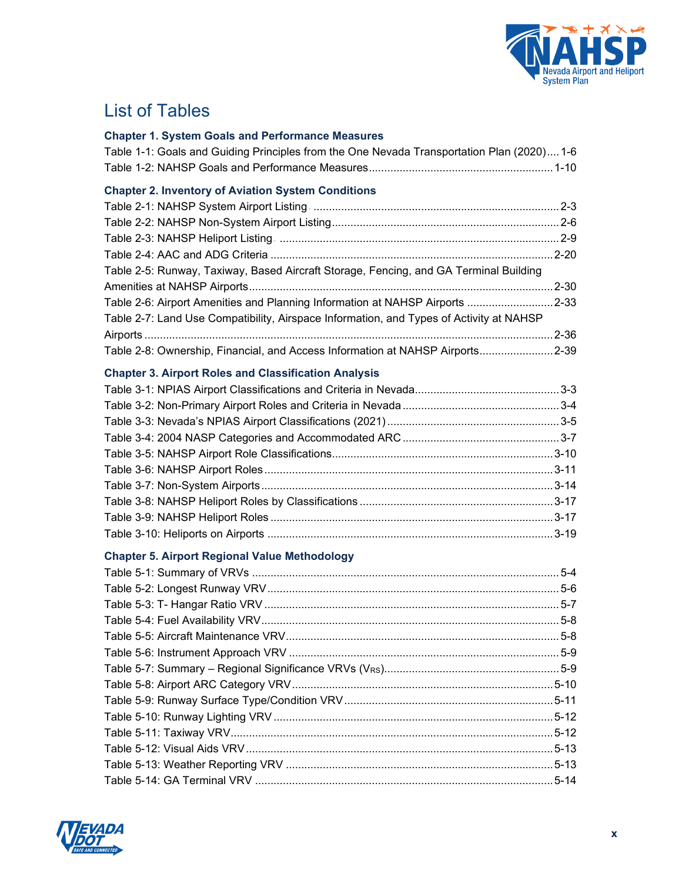

## List of Tables

#### **Chapter 1. System Goals and Performance Measures**

|  |  |  | Table 1-1: Goals and Guiding Principles from the One Nevada Transportation Plan (2020) 1-6 |  |  |
|--|--|--|--------------------------------------------------------------------------------------------|--|--|
|  |  |  |                                                                                            |  |  |

#### **Chapter 2. Inventory of Aviation System Conditions**

| Table 2-5: Runway, Taxiway, Based Aircraft Storage, Fencing, and GA Terminal Building   |  |
|-----------------------------------------------------------------------------------------|--|
|                                                                                         |  |
| Table 2-6: Airport Amenities and Planning Information at NAHSP Airports 2-33            |  |
| Table 2-7: Land Use Compatibility, Airspace Information, and Types of Activity at NAHSP |  |
|                                                                                         |  |
| Table 2-8: Ownership, Financial, and Access Information at NAHSP Airports2-39           |  |

#### **Chapter 3. Airport Roles and Classification Analysis**

### **Chapter 5. Airport Regional Value Methodology**

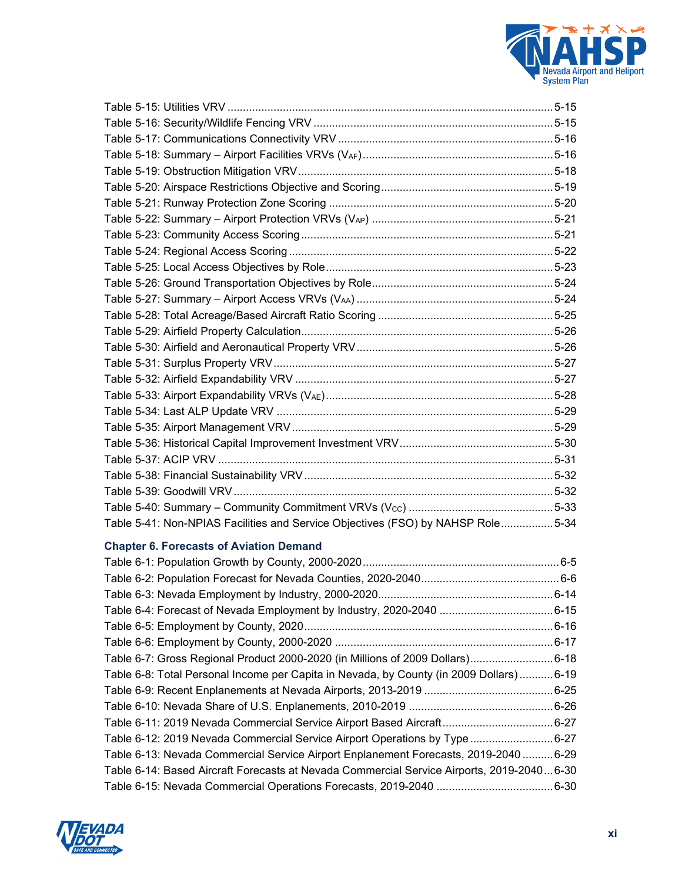

| Table 5-41: Non-NPIAS Facilities and Service Objectives (FSO) by NAHSP Role5-34           |  |
|-------------------------------------------------------------------------------------------|--|
|                                                                                           |  |
| <b>Chapter 6. Forecasts of Aviation Demand</b>                                            |  |
|                                                                                           |  |
|                                                                                           |  |
|                                                                                           |  |
|                                                                                           |  |
|                                                                                           |  |
|                                                                                           |  |
| Table 6-7: Gross Regional Product 2000-2020 (in Millions of 2009 Dollars)6-18             |  |
| Table 6-8: Total Personal Income per Capita in Nevada, by County (in 2009 Dollars)6-19    |  |
|                                                                                           |  |
|                                                                                           |  |
| Table 6-11: 2019 Nevada Commercial Service Airport Based Aircraft6-27                     |  |
| Table 6-12: 2019 Nevada Commercial Service Airport Operations by Type 6-27                |  |
| Table 6-13: Nevada Commercial Service Airport Enplanement Forecasts, 2019-20406-29        |  |
| Table 6-14: Based Aircraft Forecasts at Nevada Commercial Service Airports, 2019-20406-30 |  |
|                                                                                           |  |

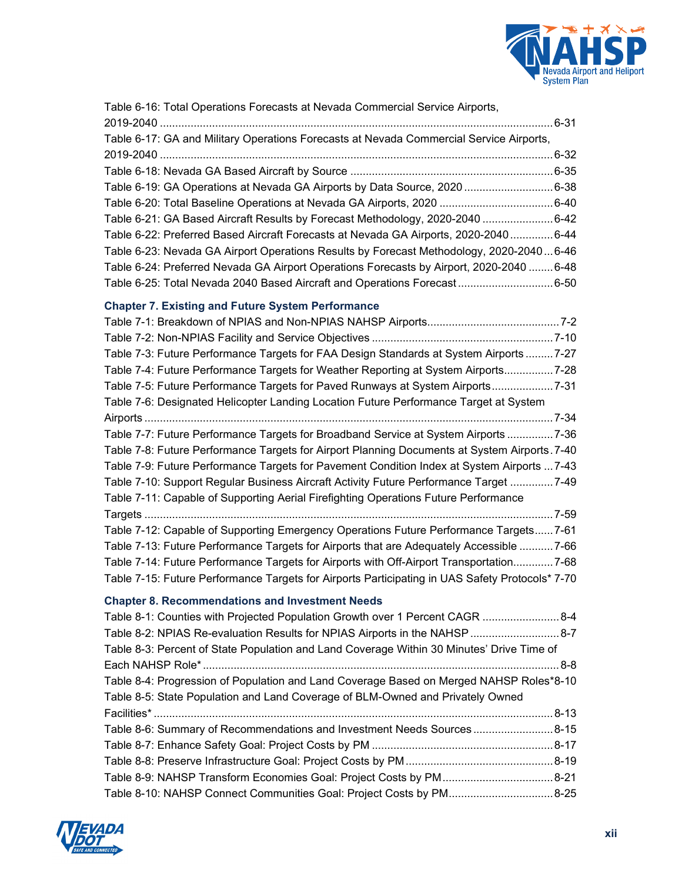

| Table 6-16: Total Operations Forecasts at Nevada Commercial Service Airports,                   |
|-------------------------------------------------------------------------------------------------|
| Table 6-17: GA and Military Operations Forecasts at Nevada Commercial Service Airports,         |
|                                                                                                 |
| Table 6-19: GA Operations at Nevada GA Airports by Data Source, 2020 6-38                       |
|                                                                                                 |
| Table 6-21: GA Based Aircraft Results by Forecast Methodology, 2020-2040 6-42                   |
| Table 6-22: Preferred Based Aircraft Forecasts at Nevada GA Airports, 2020-20406-44             |
| Table 6-23: Nevada GA Airport Operations Results by Forecast Methodology, 2020-20406-46         |
| Table 6-24: Preferred Nevada GA Airport Operations Forecasts by Airport, 2020-2040 6-48         |
| Table 6-25: Total Nevada 2040 Based Aircraft and Operations Forecast 6-50                       |
|                                                                                                 |
| <b>Chapter 7. Existing and Future System Performance</b>                                        |
|                                                                                                 |
|                                                                                                 |
| Table 7-3: Future Performance Targets for FAA Design Standards at System Airports  7-27         |
| Table 7-4: Future Performance Targets for Weather Reporting at System Airports7-28              |
| Table 7-5: Future Performance Targets for Paved Runways at System Airports7-31                  |
| Table 7-6: Designated Helicopter Landing Location Future Performance Target at System           |
|                                                                                                 |
| Table 7-7: Future Performance Targets for Broadband Service at System Airports7-36              |
| Table 7-8: Future Performance Targets for Airport Planning Documents at System Airports. 7-40   |
| Table 7-9: Future Performance Targets for Pavement Condition Index at System Airports  7-43     |
| Table 7-10: Support Regular Business Aircraft Activity Future Performance Target 7-49           |
| Table 7-11: Capable of Supporting Aerial Firefighting Operations Future Performance             |
|                                                                                                 |
| Table 7-12: Capable of Supporting Emergency Operations Future Performance Targets 7-61          |
| Table 7-13: Future Performance Targets for Airports that are Adequately Accessible  7-66        |
| Table 7-14: Future Performance Targets for Airports with Off-Airport Transportation7-68         |
| Table 7-15: Future Performance Targets for Airports Participating in UAS Safety Protocols* 7-70 |
| <b>Chapter 8. Recommendations and Investment Needs</b>                                          |
| Table 8-1: Counties with Projected Population Growth over 1 Percent CAGR  8-4                   |
| Table 8-2: NPIAS Re-evaluation Results for NPIAS Airports in the NAHSP  8-7                     |
| Table 8-3: Percent of State Population and Land Coverage Within 30 Minutes' Drive Time of       |
|                                                                                                 |
| Table 8-4: Progression of Population and Land Coverage Based on Merged NAHSP Roles*8-10         |
| Table 8-5: State Population and Land Coverage of BLM-Owned and Privately Owned                  |
|                                                                                                 |
| Table 8-6: Summary of Recommendations and Investment Needs Sources8-15                          |
|                                                                                                 |
|                                                                                                 |
| Table 8-9: NAHSP Transform Economies Goal: Project Costs by PM8-21                              |

Table 8-10: NAHSP Connect Communities Goal: Project Costs by PM.................................. 8-25